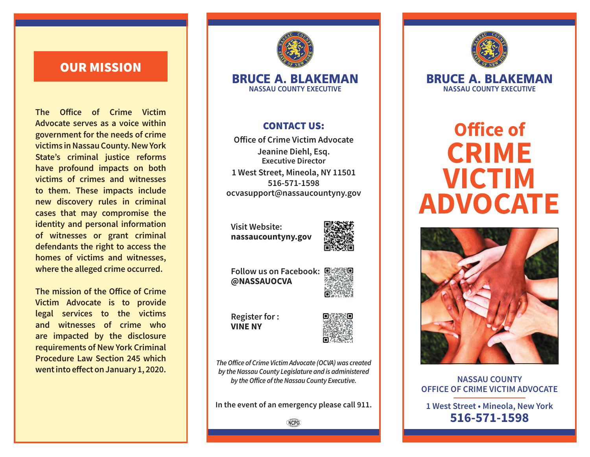# OUR MISSION

**The Office of Crime Victim Advocate serves as a voice within government for the needs of crime victims in Nassau County. New York State's criminal justice reforms have profound impacts on both victims of crimes and witnesses to them. These impacts include new discovery rules in criminal cases that may compromise the identity and personal information of witnesses or grant criminal defendants the right to access the homes of victims and witnesses, where the alleged crime occurred.**

**The mission of the Office of Crime Victim Advocate is to provide legal services to the victims and witnesses of crime who are impacted by the disclosure requirements of New York Criminal Procedure Law Section 245 which went into effect on January 1, 2020.**



#### BRUCE A. BLAKEMAN **NASSAU COUNTY EXECUTIVE**

### CONTACT US:

**Office of Crime Victim Advocate Jeanine Diehl, Esq. Executive Director 1 West Street, Mineola, NY 11501 516-571-1598 ocvasupport@nassaucountyny.gov**

**Visit Website: nassaucountyny.gov**



**Follow us on Facebook: @NASSAUOCVA**



**Register for : VINE NY** 



*The Office of Crime Victim Advocate (OCVA) was created by the Nassau County Legislature and is administered by the Office of the Nassau County Executive.*

**In the event of an emergency please call 911.**

**NCPG** 



BRUCE A. BLAKEMAN **NASSAU COUNTY EXECUTIVE**

# **Office of CRIME VICTIM ADVOCATE**



**NASSAU COUNTY OFFICE OF CRIME VICTIM ADVOCATE** 

**1 West Street • Mineola, New York 516-571-1598**